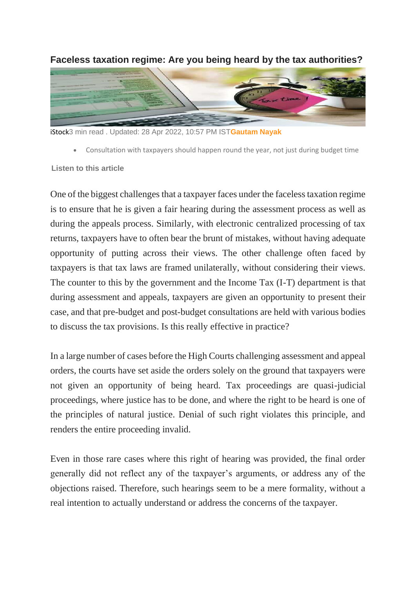

**Faceless taxation regime: Are you being heard by the tax authorities?**

iStock3 min read . Updated: 28 Apr 2022, 10:57 PM IST**[Gautam Nayak](https://www.livemint.com/Search/Link/Author/Gautam-Nayak)**

• Consultation with taxpayers should happen round the year, not just during budget time

**Listen to this article**

One of the biggest challenges that a taxpayer faces under the faceless taxation regime is to ensure that he is given a fair hearing during the assessment process as well as during the appeals process. Similarly, with electronic centralized processing of tax returns, taxpayers have to often bear the brunt of mistakes, without having adequate opportunity of putting across their views. The other challenge often faced by taxpayers is that tax laws are framed unilaterally, without considering their views. The counter to this by the government and the Income Tax (I-T) department is that during assessment and appeals, taxpayers are given an opportunity to present their case, and that pre-budget and post-budget consultations are held with various bodies to discuss the tax provisions. Is this really effective in practice?

In a large number of cases before the High Courts challenging assessment and appeal orders, the courts have set aside the orders solely on the ground that taxpayers were not given an opportunity of being heard. Tax proceedings are quasi-judicial proceedings, where justice has to be done, and where the right to be heard is one of the principles of natural justice. Denial of such right violates this principle, and renders the entire proceeding invalid.

Even in those rare cases where this right of hearing was provided, the final order generally did not reflect any of the taxpayer's arguments, or address any of the objections raised. Therefore, such hearings seem to be a mere formality, without a real intention to actually understand or address the concerns of the taxpayer.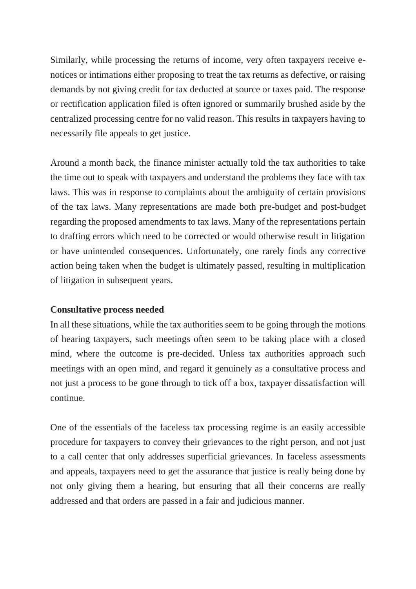Similarly, while processing the returns of income, very often taxpayers receive enotices or intimations either proposing to treat the tax returns as defective, or raising demands by not giving credit for tax deducted at source or taxes paid. The response or rectification application filed is often ignored or summarily brushed aside by the centralized processing centre for no valid reason. This results in taxpayers having to necessarily file appeals to get justice.

Around a month back, the finance minister actually told the tax authorities to take the time out to speak with taxpayers and understand the problems they face with tax laws. This was in response to complaints about the ambiguity of certain provisions of the tax laws. Many representations are made both pre-budget and post-budget regarding the proposed amendments to tax laws. Many of the representations pertain to drafting errors which need to be corrected or would otherwise result in litigation or have unintended consequences. Unfortunately, one rarely finds any corrective action being taken when the budget is ultimately passed, resulting in multiplication of litigation in subsequent years.

## **Consultative process needed**

In all these situations, while the tax authorities seem to be going through the motions of hearing taxpayers, such meetings often seem to be taking place with a closed mind, where the outcome is pre-decided. Unless tax authorities approach such meetings with an open mind, and regard it genuinely as a consultative process and not just a process to be gone through to tick off a box, taxpayer dissatisfaction will continue.

One of the essentials of the faceless tax processing regime is an easily accessible procedure for taxpayers to convey their grievances to the right person, and not just to a call center that only addresses superficial grievances. In faceless assessments and appeals, taxpayers need to get the assurance that justice is really being done by not only giving them a hearing, but ensuring that all their concerns are really addressed and that orders are passed in a fair and judicious manner.